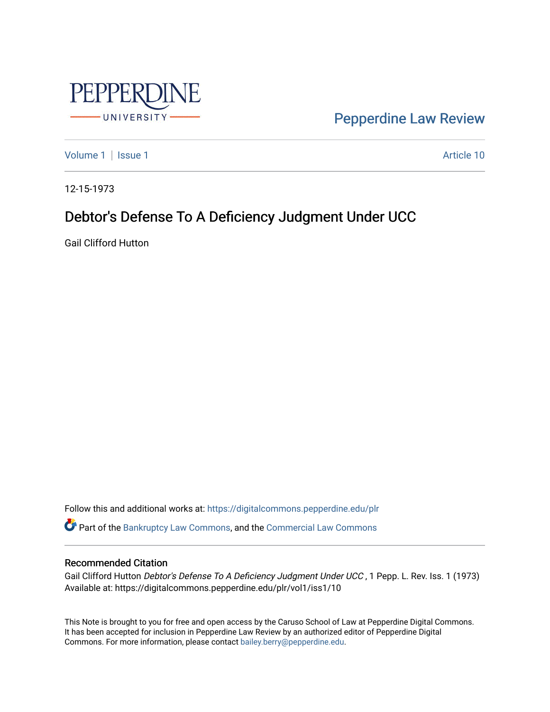

[Pepperdine Law Review](https://digitalcommons.pepperdine.edu/plr) 

[Volume 1](https://digitalcommons.pepperdine.edu/plr/vol1) | [Issue 1](https://digitalcommons.pepperdine.edu/plr/vol1/iss1) Article 10

12-15-1973

## Debtor's Defense To A Deficiency Judgment Under UCC

Gail Clifford Hutton

Follow this and additional works at: [https://digitalcommons.pepperdine.edu/plr](https://digitalcommons.pepperdine.edu/plr?utm_source=digitalcommons.pepperdine.edu%2Fplr%2Fvol1%2Fiss1%2F10&utm_medium=PDF&utm_campaign=PDFCoverPages) Part of the [Bankruptcy Law Commons,](http://network.bepress.com/hgg/discipline/583?utm_source=digitalcommons.pepperdine.edu%2Fplr%2Fvol1%2Fiss1%2F10&utm_medium=PDF&utm_campaign=PDFCoverPages) and the [Commercial Law Commons](http://network.bepress.com/hgg/discipline/586?utm_source=digitalcommons.pepperdine.edu%2Fplr%2Fvol1%2Fiss1%2F10&utm_medium=PDF&utm_campaign=PDFCoverPages) 

## Recommended Citation

Gail Clifford Hutton Debtor's Defense To A Deficiency Judgment Under UCC , 1 Pepp. L. Rev. Iss. 1 (1973) Available at: https://digitalcommons.pepperdine.edu/plr/vol1/iss1/10

This Note is brought to you for free and open access by the Caruso School of Law at Pepperdine Digital Commons. It has been accepted for inclusion in Pepperdine Law Review by an authorized editor of Pepperdine Digital Commons. For more information, please contact [bailey.berry@pepperdine.edu](mailto:bailey.berry@pepperdine.edu).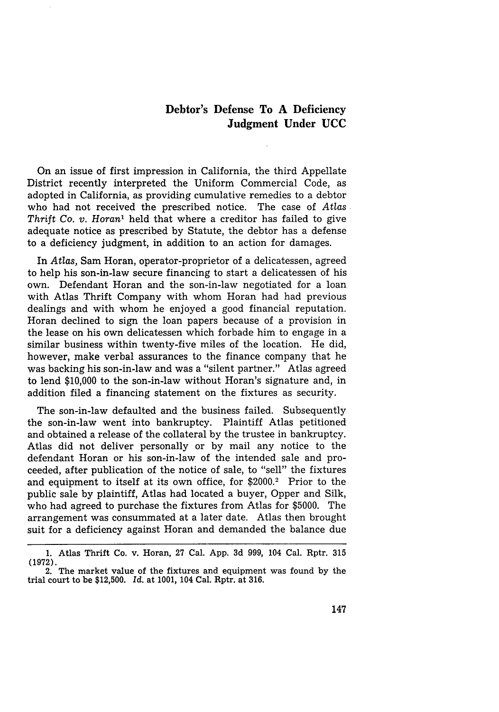## **Debtor's Defense To A Deficiency Judgment Under UCC**

On an issue of first impression in California, the third Appellate District recently interpreted the Uniform Commercial Code, as adopted in California, as providing cumulative remedies to a debtor who had not received the prescribed notice. The case of *Atlas Thrift Co. v. Horan'* held that where a creditor has failed to give adequate notice as prescribed **by** Statute, the debtor has a defense to a deficiency judgment, in addition to an action for damages.

In *Atlas,* Sam Horan, operator-proprietor of a delicatessen, agreed to help his son-in-law secure financing to start a delicatessen of his own. Defendant Horan and the son-in-law negotiated for a loan with Atlas Thrift Company with whom Horan had had previous dealings and with whom he enjoyed a good financial reputation. Horan declined to sign the loan papers because of a provision in the lease on his own delicatessen which forbade him to engage in a similar business within twenty-five miles of the location. He did, however, make verbal assurances to the finance company that he was backing his son-in-law and was a "silent partner." Atlas agreed to lend **\$10,000** to the son-in-law without Horan's signature and, in addition filed a financing statement on the fixtures as security.

The son-in-law defaulted and the business failed. Subsequently the son-in-law went into bankruptcy. Plaintiff Atlas petitioned and obtained a release of the collateral **by** the trustee in bankruptcy. Atlas did not deliver personally or **by** mail any notice to the defendant Horan or his son-in-law of the intended sale and proceeded, after publication of the notice of sale, to "sell" the fixtures and equipment to itself at its own office, for \$2000.2 Prior to the public sale **by** plaintiff, Atlas had located a buyer, Opper and Silk, who had agreed to purchase the fixtures from Atlas for **\$5000.** The arrangement was consummated at a later date. Atlas then brought suit for a deficiency against Horan and demanded the balance due

**<sup>1.</sup>** Atlas Thrift Co. v. Horan, **27** Cal. **App. 3d 999,** 104 Cal. Rptr. **315** (1972). 2. The market value of the fixtures and equipment was found by the

trial court to be \$12,500. *Id.* at 1001, 104 Cal. Rptr. at 316.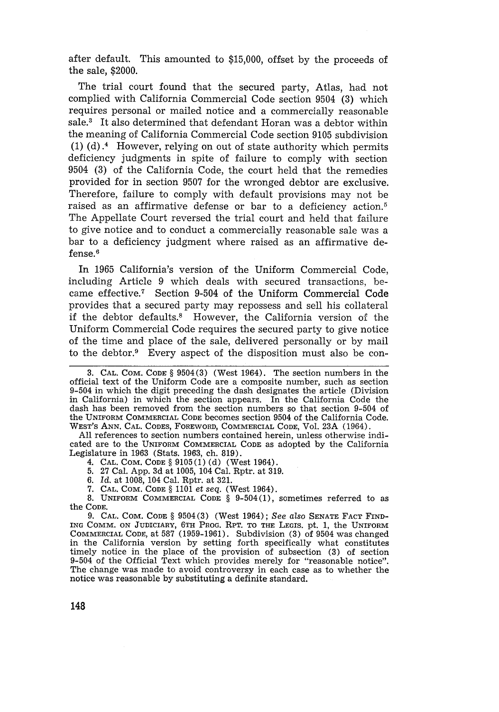after default. This amounted to \$15,000, offset by the proceeds of the sale, \$2000.

The trial court found that the secured party, Atlas, had not complied with California Commercial Code section 9504 (3) which requires personal or mailed notice and a commercially reasonable sale.<sup>3</sup> It also determined that defendant Horan was a debtor within the meaning of California Commercial Code section 9105 subdivision (1) (d)  $\cdot$ <sup>4</sup> However, relying on out of state authority which permits deficiency judgments in spite of failure to comply with section 9504 (3) of the California Code, the court held that the remedies provided for in section 9507 for the wronged debtor are exclusive. Therefore, failure to comply with default provisions may not be raised as an affirmative defense or bar to a deficiency action.' The Appellate Court reversed the trial court and held that failure to give notice and to conduct a commercially reasonable sale was a bar to a deficiency judgment where raised as an affirmative defense.6

In 1965 California's version of the Uniform Commercial Code, including Article 9 which deals with secured transactions, became effective.<sup>7</sup> Section 9-504 of the Uniform Commercial Code provides that a secured party may repossess and sell his collateral if the debtor defaults.<sup>8</sup> However, the California version of the Uniform Commercial Code requires the secured party to give notice of the time and place of the sale, delivered personally or by mail to the debtor.9 Every aspect of the disposition must also be con-

All references to section numbers contained herein, unless otherwise indicated are to the **UNIFORM** COMMERCIAL **CODE** as adopted by the California Legislature in 1963 (Stats. 1963, ch. 819).

4. **CAL.** COM. **CODE** § 9105(1) (d) (West 1964).

5. 27 Cal. App. 3d at 1005, 104 Cal. Rptr. at 319.

6. *Id.* at 1008, 104 Cal. Rptr. at 321.

7. **CAL. COM. CODE** § 1101 *et seq.* (West 1964).

8. UNIFORM COMMERCIAL **CODE** § 9-504(1), sometimes referred to as the **CODE.**

9. **CAL. COM. CODE** § 9504(3) (West 1964); *See also* **SENATE FACT FIND-**ING COMM. **ON** JUDICIARY, **6TH** PROG. RPT. TO THE LEGIS. pt. 1, the UNIFORM COMMERCIAL **CODE,** at 587 (1959-1961). Subdivision (3) of 9504 was changed in the California version by setting forth specifically what constitutes timely notice in the place of the provision of subsection (3) of section 9-504 of the Official Text which provides merely for "reasonable notice". The change was made to avoid controversy in each case as to whether the notice was reasonable by substituting a definite standard.

148

<sup>3.</sup> **CAL. COM. CODE** § 9504(3) (West 1964). The section numbers in the official text of the Uniform Code are a composite number, such as section 9-504 in which the digit preceding the dash designates the article (Division in California) in which the section appears. In the California Code the dash has been removed from the section numbers so that section 9-504 of the UNIFORM COMMERCIAL CODE becomes section 9504 of the California Code. WEST's **ANN. CAL.** CODES, FOREWORD, COMMERCIAL CODE, Vol. 23A (1964).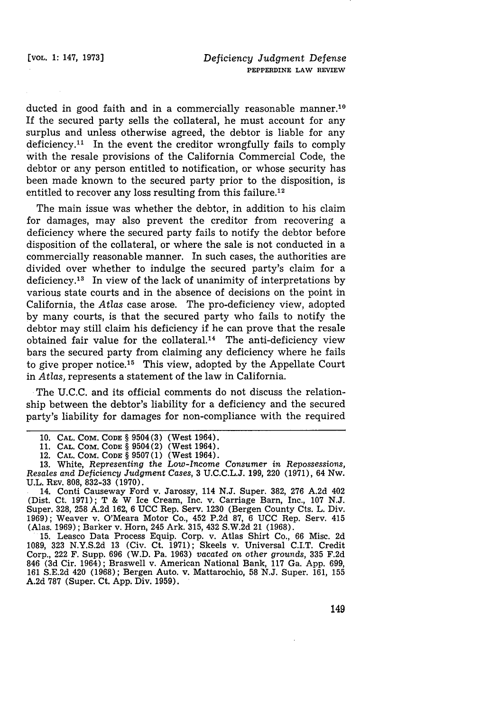ducted in good faith and in a commercially reasonable manner.<sup>10</sup> If the secured party sells the collateral, he must account for any surplus and unless otherwise agreed, the debtor is liable for any deficiency.<sup>11</sup> In the event the creditor wrongfully fails to comply with the resale provisions of the California Commercial Code, the debtor or any person entitled to notification, or whose security has been made known to the secured party prior to the disposition, is entitled to recover any loss resulting from this failure.<sup>12</sup>

The main issue was whether the debtor, in addition to his claim for damages, may also prevent the creditor from recovering a deficiency where the secured party fails to notify the debtor before disposition of the collateral, or where the sale is not conducted in a commercially reasonable manner. In such cases, the authorities are divided over whether to indulge the secured party's claim for a deficiency.<sup>13</sup> In view of the lack of unanimity of interpretations by various state courts and in the absence of decisions on the point in California, the *Atlas* case arose. The pro-deficiency view, adopted **by** many courts, is that the secured party who fails to notify the debtor may still claim his deficiency if he can prove that the resale obtained fair value for the collateral.<sup>14</sup> The anti-deficiency view bars the secured party from claiming any deficiency where he fails to give proper notice.<sup>15</sup> This view, adopted by the Appellate Court in *Atlas,* represents a statement of the law in California.

The **U.C.C.** and its official comments do not discuss the relationship between the debtor's liability for a deficiency and the secured party's liability for damages for non-compliance with the required

1089, 323 N.Y.S.2d 13 (Civ. Ct. 1971); Skeels v. Universal C.I.T. Credit Corp., 222 F. Supp. 696 (W.D. Pa. 1963) *vacated on other grounds,* 335 F.2d 846 (3d Cir. 1964); Braswell v. American National Bank, 117 Ga. App. 699, 161 S.E.2d 420 (1968); Bergen Auto. v. Mattarochio, 58 N.J. Super. 161, 155 A.2d 787 (Super. Ct. App. Div. 1959).

**<sup>10.</sup> CAL.** COM. CODE § 9504(3) (West 1964).

<sup>11.</sup> CAL. COM. CODE § 9504(2) (West 1964).

<sup>12.</sup> CAL. COM. CODE § 9507(1) (West 1964).

<sup>13.</sup> White, *Representing the Low-Income Consumer in Repossessions, Resales and Deficiency Judgment Cases,* 3 U.C.C.L.J. 199, 220 (1971), 64 Nw. U.L. REV. 808, 832-33 (1970).

<sup>14.</sup> Conti Causeway Ford v. Jarossy, 114 **N.J.** Super. 382, 276 A.2d 402 (Dist. Ct. 1971); T & W Ice Cream, Inc. v. Carriage Barn, Inc., 107 N.J. Super. 328, 258 A.2d 162, 6 UCC Rep. Serv. 1230 (Bergen County Cts. L. Div. 1969); Weaver v. O'Meara Motor Co., 452 P.2d 87, 6 UCC Rep. Serv. 415 (Alas. 1969); Barker v. Horn, 245 Ark. 315, 432 S.W.2d 21 (1968). 15. Leasco Data Process Equip. Corp. v. Atlas Shirt Co., 66 Misc. 2d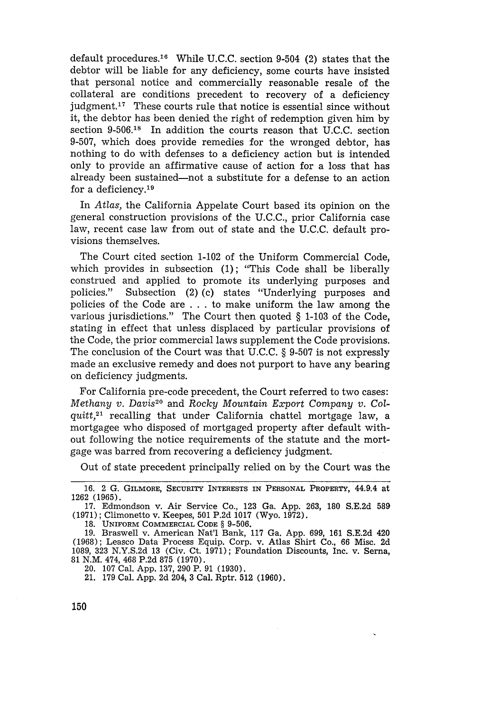default procedures.<sup>16</sup> While U.C.C. section 9-504 (2) states that the debtor will be liable for any deficiency, some courts have insisted that personal notice and commercially reasonable resale of the collateral are conditions precedent to recovery of a deficiency judgment.<sup>17</sup> These courts rule that notice is essential since without it, the debtor has been denied the right of redemption given him by section 9-506.18 In addition the courts reason that U.C.C. section 9-507, which does provide remedies for the wronged debtor, has nothing to do with defenses to a deficiency action but is intended only to provide an affirmative cause of action for a loss that has already been sustained-not a substitute for a defense to an action for a deficiency. $19$ 

In *Atlas,* the California Appelate Court based its opinion on the general construction provisions of the U.C.C., prior California case law, recent case law from out of state and the U.C.C. default provisions themselves.

The Court cited section 1-102 of the Uniform Commercial Code, which provides in subsection (1); "This Code shall be liberally construed and applied to promote its underlying purposes and policies." Subsection (2) (c) states "Underlying purposes and policies of the Code are . . . to make uniform the law among the various jurisdictions." The Court then quoted § 1-103 of the Code, stating in effect that unless displaced by particular provisions of the Code, the prior commercial laws supplement the Code provisions. The conclusion of the Court was that U.C.C. § 9-507 is not expressly made an exclusive remedy and does not purport to have any bearing on deficiency judgments.

For California pre-code precedent, the Court referred to two cases: *Methany v. Davis20* and Rocky *Mountain Export Company v. Colquitt,21* recalling that under California chattel mortgage law, a mortgagee who disposed of mortgaged property after default without following the notice requirements of the statute and the mortgage was barred from recovering a deficiency judgment.

Out of state precedent principally relied on by the Court was the

20. 107 Cal. App. 137, 290 P. 91 (1930).

21. 179 Cal. App. 2d 204, 3 Cal. Rptr. 512 (1960).

<sup>16. 2</sup> G. GILMORE, SECURITY INTERESTS **IN PERSONAL** PROPERTY, 44.9.4 at 1262 (1965).

<sup>17.</sup> Edmondson v. Air Service Co., 123 Ga. App. 263, 180 S.E.2d 589 (1971); Climonetto v. Keepes, 501 P.2d 1017 (Wyo. 1972).

**<sup>18.</sup> UNIFORM** COMMERCIAL **CODE** § 9-506. 19. Braswell v. American Nat'l Bank, 117 Ga. App. 699, 161 S.E.2d 420 (1968); Leasco Data Process Equip. Corp. v. Atlas Shirt Co., 66 Misc. 2d 1089, 323 N.Y.S.2d 13 (Civ. Ct. 1971); Foundation Discounts, Inc. v. Serna, 81 N.M. 474, 468 P.2d 875 (1970).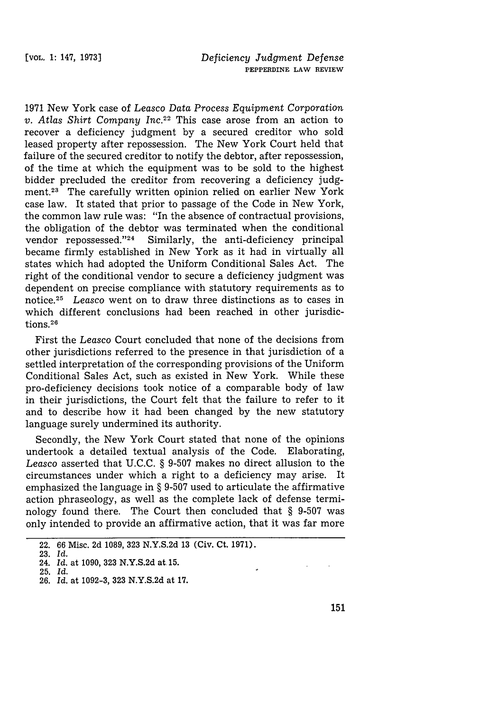1971 New York case of *Leasco Data Process Equipment Corporation v. Atlas Shirt Company Inc.22* This case arose from an action to recover a deficiency judgment by a secured creditor who sold leased property after repossession. The New York Court held that failure of the secured creditor to notify the debtor, after repossession, of the time at which the equipment was to be sold to the highest bidder precluded the creditor from recovering a deficiency judgment.23 The carefully written opinion relied on earlier New York case law. It stated that prior to passage of the Code in New York, the common law rule was: "In the absence of contractual provisions, the obligation of the debtor was terminated when the conditional vendor repossessed." $24$  Similarly, the anti-deficiency principal became firmly established in New York as it had in virtually all states which had adopted the Uniform Conditional Sales Act. The right of the conditional vendor to secure a deficiency judgment was dependent on precise compliance with statutory requirements as to notice. <sup>25</sup>*Leasco* went on to draw three distinctions as to cases in which different conclusions had been reached in other jurisdictions.<sup>26</sup>

First the *Leasco* Court concluded that none of the decisions from other jurisdictions referred to the presence in that jurisdiction of a settled interpretation of the corresponding provisions of the Uniform Conditional Sales Act, such as existed in New York. While these pro-deficiency decisions took notice of a comparable body of law in their jurisdictions, the Court felt that the failure to refer to it and to describe how it had been changed by the new statutory language surely undermined its authority.

Secondly, the New York Court stated that none of the opinions undertook a detailed textual analysis of the Code. Elaborating, *Leasco* asserted that U.C.C. § 9-507 makes no direct allusion to the circumstances under which a right to a deficiency may arise. It emphasized the language in § 9-507 used to articulate the affirmative action phraseology, as well as the complete lack of defense terminology found there. The Court then concluded that § 9-507 was only intended to provide an affirmative action, that it was far more

<sup>22.</sup> **66** Misc. 2d **1089, 323** N.Y.S.2d **13** (Civ. Ct. 1971).

**<sup>23.</sup>** *Id.*

<sup>24.</sup> *Id.* at 1090, **323** N.Y.S.2d at. **15.**

**<sup>25.</sup>** *Id.*

**<sup>26.</sup> Id.** at **1092-3, 323 N.Y.S.2d** at 17.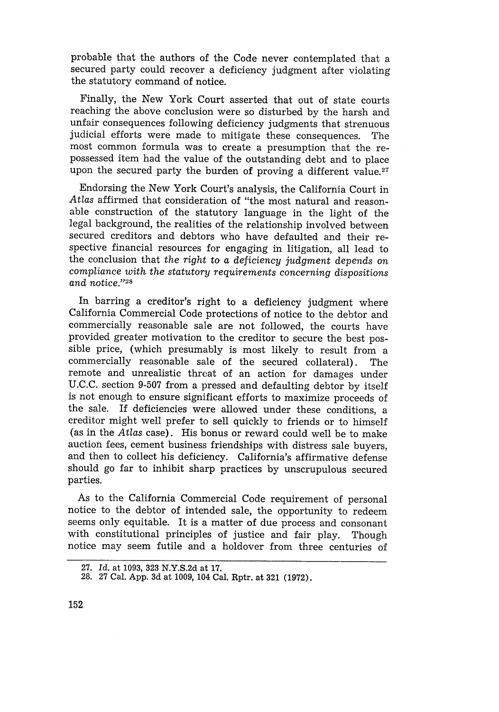probable that the authors of the Code never contemplated that a secured party could recover a deficiency judgment after violating the statutory command of notice.

Finally, the New York Court asserted that out of state courts reaching the above conclusion were so disturbed by the harsh and unfair consequences following deficiency judgments that strenuous judicial efforts were made to mitigate these consequences. The most common formula was to create a presumption that the repossessed item had the value of the outstanding debt and to place upon the secured party the burden of proving a different value.<sup>27</sup>

Endorsing the New York Court's analysis, the California Court in *Atlas* affirmed that consideration of "the most natural and reasonable construction of the statutory language in the light of the legal background, the realities of the relationship involved between secured creditors and debtors who have defaulted and their respective financial resources for engaging in litigation, all lead to the conclusion that *the right* to a deficiency *judgment depends on compliance with the statutory requirements concerning dispositions and notice."28*

In barring a creditor's right to a deficiency judgment where California Commercial Code protections of notice to the debtor and commercially reasonable sale are not followed, the courts have provided greater motivation to the creditor to secure the best possible price, (which presumably is most likely to result from a commercially reasonable sale of the secured collateral). The remote and unrealistic threat of an action for damages under U.C.C. section 9-507 from a pressed and defaulting debtor by itself is not enough to ensure significant efforts to maximize proceeds of the sale. If deficiencies were allowed under these conditions, a creditor might well prefer to sell quickly to friends or to himself (as in the *Atlas* case). His bonus or reward could well be to make auction fees, cement business friendships with distress sale buyers, and then to collect his deficiency. California's affirmative defense should go far to inhibit sharp practices by unscrupulous secured parties.

As to the California Commercial Code requirement of personal notice to the debtor of intended sale, the opportunity to redeem seems only equitable. It is a matter of due process and consonant with constitutional principles of justice and fair play. Though notice may seem futile and a holdover from three centuries of

**<sup>27.</sup>** *Id.* at **1093, 323** N.Y.S.2d at **17.**

**<sup>28. 27</sup>** Cal. **App. 3d** at **1009,** 104 Cal. Rptr. at **321 (1972).**